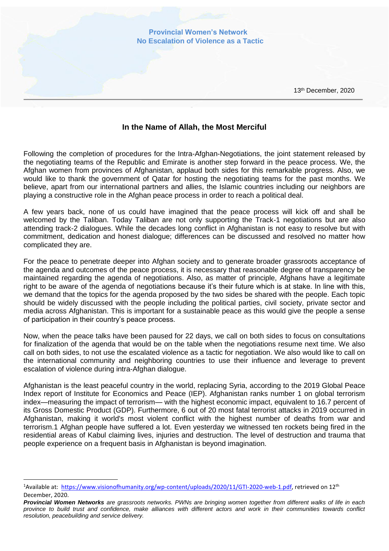

## **In the Name of Allah, the Most Merciful**

Following the completion of procedures for the Intra-Afghan-Negotiations, the joint statement released by the negotiating teams of the Republic and Emirate is another step forward in the peace process. We, the Afghan women from provinces of Afghanistan, applaud both sides for this remarkable progress. Also, we would like to thank the government of Qatar for hosting the negotiating teams for the past months. We believe, apart from our international partners and allies, the Islamic countries including our neighbors are playing a constructive role in the Afghan peace process in order to reach a political deal.

A few years back, none of us could have imagined that the peace process will kick off and shall be welcomed by the Taliban. Today Taliban are not only supporting the Track-1 negotiations but are also attending track-2 dialogues. While the decades long conflict in Afghanistan is not easy to resolve but with commitment, dedication and honest dialogue; differences can be discussed and resolved no matter how complicated they are.

For the peace to penetrate deeper into Afghan society and to generate broader grassroots acceptance of the agenda and outcomes of the peace process, it is necessary that reasonable degree of transparency be maintained regarding the agenda of negotiations. Also, as matter of principle, Afghans have a legitimate right to be aware of the agenda of negotiations because it's their future which is at stake. In line with this, we demand that the topics for the agenda proposed by the two sides be shared with the people. Each topic should be widely discussed with the people including the political parties, civil society, private sector and media across Afghanistan. This is important for a sustainable peace as this would give the people a sense of participation in their country's peace process.

Now, when the peace talks have been paused for 22 days, we call on both sides to focus on consultations for finalization of the agenda that would be on the table when the negotiations resume next time. We also call on both sides, to not use the escalated violence as a tactic for negotiation. We also would like to call on the international community and neighboring countries to use their influence and leverage to prevent escalation of violence during intra-Afghan dialogue.

Afghanistan is the least peaceful country in the world, replacing Syria, according to [the 2019 Global Peace](https://reliefweb.int/report/world/global-peace-index-2019)  [Index report](https://reliefweb.int/report/world/global-peace-index-2019) of Institute for Economics and Peace (IEP). Afghanistan ranks number 1 on global terrorism index—measuring the impact of terrorism— with the highest economic impact, equivalent to 16.7 percent of its Gross Domestic Product (GDP). Furthermore, 6 out of 20 most fatal terrorist attacks in 2019 occurred in Afghanistan, making it world's most violent conflict with the highest number of deaths from war and terrorism.1 Afghan people have suffered a lot. Even yesterday we witnessed ten rockets being fired in the residential areas of Kabul claiming lives, injuries and destruction. The level of destruction and trauma that people experience on a frequent basis in Afghanistan is beyond imagination.

<sup>&</sup>lt;sup>1</sup>Available at: [https://www.visionofhumanity.org/wp-content/uploads/2020/11/GTI-2020-web-1.pdf,](https://www.visionofhumanity.org/wp-content/uploads/2020/11/GTI-2020-web-1.pdf) retrieved on 12<sup>th</sup> December, 2020.

*Provincial Women Networks are grassroots networks. PWNs are bringing women together from different walks of life in each province to build trust and confidence, make alliances with different actors and work in their communities towards conflict resolution, peacebuilding and service delivery.*